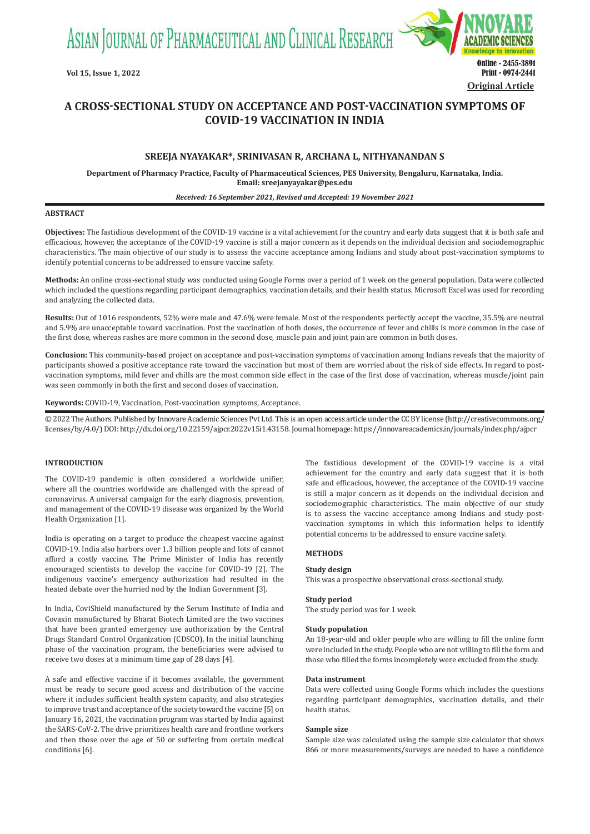ASIAN JOURNAL OF PHARMACEUTICAL AND CLINICAL RESEARCH



# **A CROSS-SECTIONAL STUDY ON ACCEPTANCE AND POST-VACCINATION SYMPTOMS OF COVID-19 VACCINATION IN INDIA**

# **SREEJA NYAYAKAR\*, SRINIVASAN R, ARCHANA L, NITHYANANDAN S**

**Department of Pharmacy Practice, Faculty of Pharmaceutical Sciences, PES University, Bengaluru, Karnataka, India. Email: sreejanyayakar@pes.edu**

#### *Received: 16 September 2021, Revised and Accepted: 19 November 2021*

### **ABSTRACT**

**Objectives:** The fastidious development of the COVID-19 vaccine is a vital achievement for the country and early data suggest that it is both safe and efficacious, however, the acceptance of the COVID-19 vaccine is still a major concern as it depends on the individual decision and sociodemographic characteristics. The main objective of our study is to assess the vaccine acceptance among Indians and study about post-vaccination symptoms to identify potential concerns to be addressed to ensure vaccine safety.

**Methods:** An online cross-sectional study was conducted using Google Forms over a period of 1 week on the general population. Data were collected which included the questions regarding participant demographics, vaccination details, and their health status. Microsoft Excel was used for recording and analyzing the collected data.

**Results:** Out of 1016 respondents, 52% were male and 47.6% were female. Most of the respondents perfectly accept the vaccine, 35.5% are neutral and 5.9% are unacceptable toward vaccination. Post the vaccination of both doses, the occurrence of fever and chills is more common in the case of the first dose, whereas rashes are more common in the second dose, muscle pain and joint pain are common in both doses.

**Conclusion:** This community-based project on acceptance and post-vaccination symptoms of vaccination among Indians reveals that the majority of participants showed a positive acceptance rate toward the vaccination but most of them are worried about the risk of side effects. In regard to postvaccination symptoms, mild fever and chills are the most common side effect in the case of the first dose of vaccination, whereas muscle/joint pain was seen commonly in both the first and second doses of vaccination.

**Keywords:** COVID-19, Vaccination, Post-vaccination symptoms, Acceptance.

© 2022 The Authors. Published by Innovare Academic Sciences Pvt Ltd. This is an open access article under the CC BY license (http://creativecommons.org/ licenses/by/4.0/) DOI: http://dx.doi.org/10.22159/ajpcr.2022v15i1.43158. Journal homepage: https://innovareacademics.in/journals/index.php/ajpcr

# **INTRODUCTION**

The COVID-19 pandemic is often considered a worldwide unifier, where all the countries worldwide are challenged with the spread of coronavirus. A universal campaign for the early diagnosis, prevention, and management of the COVID-19 disease was organized by the World Health Organization [1].

India is operating on a target to produce the cheapest vaccine against COVID-19. India also harbors over 1.3 billion people and lots of cannot afford a costly vaccine. The Prime Minister of India has recently encouraged scientists to develop the vaccine for COVID-19 [2]. The indigenous vaccine's emergency authorization had resulted in the heated debate over the hurried nod by the Indian Government [3].

In India, CoviShield manufactured by the Serum Institute of India and Covaxin manufactured by Bharat Biotech Limited are the two vaccines that have been granted emergency use authorization by the Central Drugs Standard Control Organization (CDSCO). In the initial launching phase of the vaccination program, the beneficiaries were advised to receive two doses at a minimum time gap of 28 days [4].

A safe and effective vaccine if it becomes available, the government must be ready to secure good access and distribution of the vaccine where it includes sufficient health system capacity, and also strategies to improve trust and acceptance of the society toward the vaccine [5] on January 16, 2021, the vaccination program was started by India against the SARS-CoV-2. The drive prioritizes health care and frontline workers and then those over the age of 50 or suffering from certain medical conditions [6].

The fastidious development of the COVID-19 vaccine is a vital achievement for the country and early data suggest that it is both safe and efficacious, however, the acceptance of the COVID-19 vaccine is still a major concern as it depends on the individual decision and sociodemographic characteristics. The main objective of our study is to assess the vaccine acceptance among Indians and study postvaccination symptoms in which this information helps to identify potential concerns to be addressed to ensure vaccine safety.

# **METHODS**

### **Study design**

This was a prospective observational cross-sectional study.

### **Study period**

The study period was for 1 week.

#### **Study population**

An 18-year-old and older people who are willing to fill the online form were included in the study. People who are not willing to fill the form and those who filled the forms incompletely were excluded from the study.

#### **Data instrument**

Data were collected using Google Forms which includes the questions regarding participant demographics, vaccination details, and their health status.

#### **Sample size**

Sample size was calculated using the sample size calculator that shows 866 or more measurements/surveys are needed to have a confidence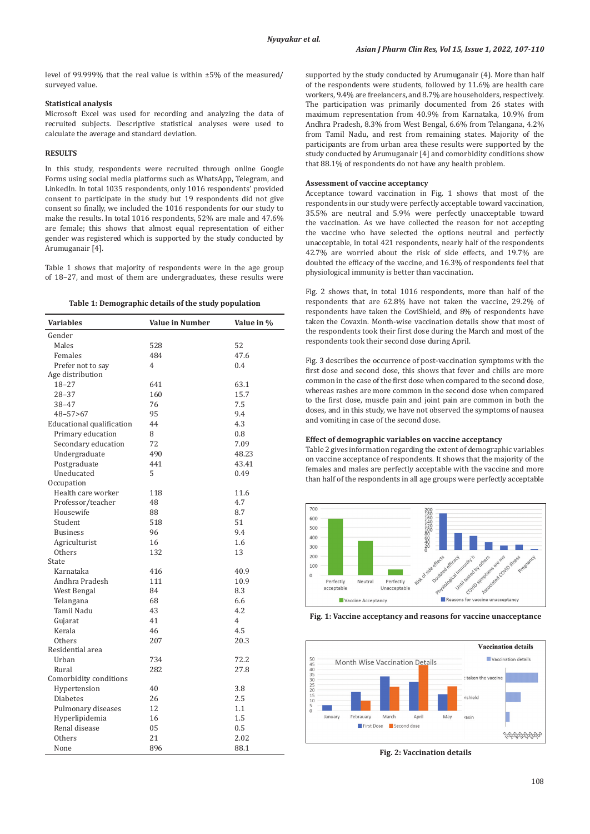level of 99.999% that the real value is within ±5% of the measured/ surveyed value.

# **Statistical analysis**

Microsoft Excel was used for recording and analyzing the data of recruited subjects. Descriptive statistical analyses were used to calculate the average and standard deviation.

# **RESULTS**

In this study, respondents were recruited through online Google Forms using social media platforms such as WhatsApp, Telegram, and LinkedIn. In total 1035 respondents, only 1016 respondents' provided consent to participate in the study but 19 respondents did not give consent so finally, we included the 1016 respondents for our study to make the results. In total 1016 respondents, 52% are male and 47.6% are female; this shows that almost equal representation of either gender was registered which is supported by the study conducted by Arumuganair [4].

Table 1 shows that majority of respondents were in the age group of 18–27, and most of them are undergraduates, these results were

| <b>Variables</b>          | <b>Value in Number</b> | Value in % |
|---------------------------|------------------------|------------|
| Gender                    |                        |            |
| Males                     | 528                    | 52         |
| Females                   | 484                    | 47.6       |
| Prefer not to say         | $\overline{4}$         | 0.4        |
| Age distribution          |                        |            |
| 18–27                     | 641                    | 63.1       |
| $28 - 37$                 | 160                    | 15.7       |
| $38 - 47$                 | 76                     | 7.5        |
| 48-57>67                  | 95                     | 9.4        |
| Educational qualification | 44                     | 4.3        |
| Primary education         | 8                      | 0.8        |
| Secondary education       | 72                     | 7.09       |
| Undergraduate             | 490                    | 48.23      |
| Postgraduate              | 441                    | 43.41      |
| Uneducated                | 5                      | 0.49       |
| Occupation                |                        |            |
| Health care worker        | 118                    | 11.6       |
| Professor/teacher         | 48                     | 4.7        |
| Housewife                 | 88                     | 8.7        |
| Student                   | 518                    | 51         |
| <b>Business</b>           | 96                     | 9.4        |
| Agriculturist             | 16                     | 1.6        |
| <b>Others</b>             | 132                    | 13         |
| State                     |                        |            |
| Karnataka                 | 416                    | 40.9       |
| Andhra Pradesh            | 111                    | 10.9       |
| West Bengal               | 84                     | 8.3        |
| Telangana                 | 68                     | 6.6        |
| Tamil Nadu                | 43                     | 4.2        |
| Gujarat                   | 41                     | 4          |
| Kerala                    | 46                     | 4.5        |
| <b>Others</b>             | 207                    | 20.3       |
| Residential area          |                        |            |
| Urban                     | 734                    | 72.2       |
| Rural                     | 282                    | 27.8       |
| Comorbidity conditions    |                        |            |
| Hypertension              | 40                     | 3.8        |
| <b>Diabetes</b>           | 26                     | 2.5        |
| Pulmonary diseases        | 12                     | 1.1        |
| Hyperlipidemia            | 16                     | 1.5        |
| Renal disease             | 05                     | 0.5        |
| Others                    | 21                     | 2.02       |
| None                      | 896                    | 88.1       |

supported by the study conducted by Arumuganair (4). More than half of the respondents were students, followed by 11.6% are health care workers, 9.4% are freelancers, and 8.7% are householders, respectively. The participation was primarily documented from 26 states with maximum representation from 40.9% from Karnataka, 10.9% from Andhra Pradesh, 8.3% from West Bengal, 6.6% from Telangana, 4.2% from Tamil Nadu, and rest from remaining states. Majority of the participants are from urban area these results were supported by the study conducted by Arumuganair [4] and comorbidity conditions show that 88.1% of respondents do not have any health problem.

# **Assessment of vaccine acceptancy**

Acceptance toward vaccination in Fig. 1 shows that most of the respondents in our study were perfectly acceptable toward vaccination, 35.5% are neutral and 5.9% were perfectly unacceptable toward the vaccination. As we have collected the reason for not accepting the vaccine who have selected the options neutral and perfectly unacceptable, in total 421 respondents, nearly half of the respondents 42.7% are worried about the risk of side effects, and 19.7% are doubted the efficacy of the vaccine, and 16.3% of respondents feel that physiological immunity is better than vaccination.

Fig. 2 shows that, in total 1016 respondents, more than half of the respondents that are 62.8% have not taken the vaccine, 29.2% of respondents have taken the CoviShield, and 8% of respondents have taken the Covaxin. Month-wise vaccination details show that most of the respondents took their first dose during the March and most of the respondents took their second dose during April.

Fig. 3 describes the occurrence of post-vaccination symptoms with the first dose and second dose, this shows that fever and chills are more common in the case of the first dose when compared to the second dose, whereas rashes are more common in the second dose when compared to the first dose, muscle pain and joint pain are common in both the doses, and in this study, we have not observed the symptoms of nausea and vomiting in case of the second dose.

# **Effect of demographic variables on vaccine acceptancy**

Table 2 gives information regarding the extent of demographic variables on vaccine acceptance of respondents. It shows that the majority of the females and males are perfectly acceptable with the vaccine and more than half of the respondents in all age groups were perfectly acceptable







**Fig. 2: Vaccination details**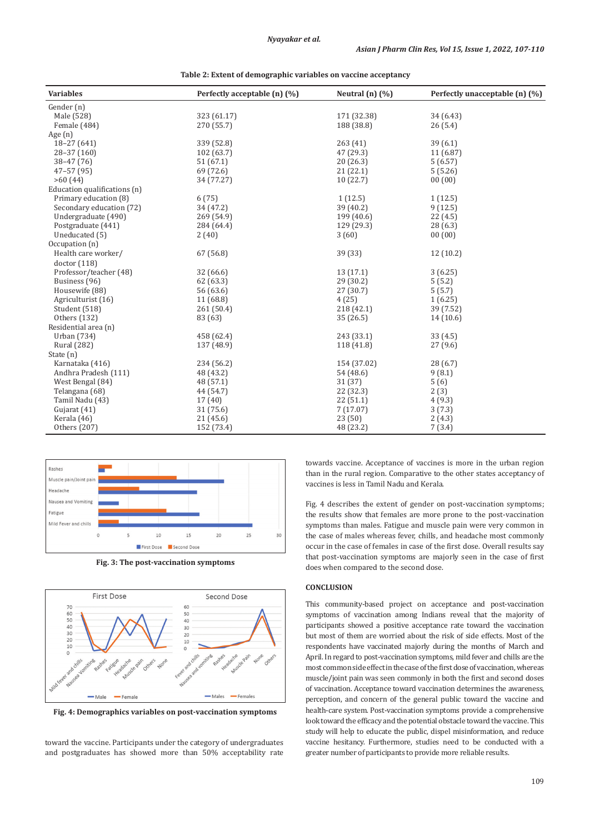| <b>Variables</b>             | Perfectly acceptable (n) (%) | Neutral $(n)$ $(\%)$ | Perfectly unacceptable (n) (%) |
|------------------------------|------------------------------|----------------------|--------------------------------|
| Gender (n)                   |                              |                      |                                |
| Male (528)                   | 323 (61.17)                  | 171 (32.38)          | 34 (6.43)                      |
| Female (484)                 | 270 (55.7)                   | 188 (38.8)           | 26(5.4)                        |
| Age $(n)$                    |                              |                      |                                |
| 18-27 (641)                  | 339 (52.8)                   | 263(41)              | 39(6.1)                        |
| 28-37 (160)                  | 102 (63.7)                   | 47 (29.3)            | 11 (6.87)                      |
| $38 - 47(76)$                | 51(67.1)                     | 20(26.3)             | 5(6.57)                        |
| $47 - 57(95)$                | 69 (72.6)                    | 21(22.1)             | 5(5.26)                        |
| >60(44)                      | 34 (77.27)                   | 10(22.7)             | 00(00)                         |
| Education qualifications (n) |                              |                      |                                |
| Primary education (8)        | 6(75)                        | 1(12.5)              | 1(12.5)                        |
| Secondary education (72)     | 34 (47.2)                    | 39(40.2)             | 9(12.5)                        |
| Undergraduate (490)          | 269 (54.9)                   | 199 (40.6)           | 22 (4.5)                       |
| Postgraduate (441)           | 284 (64.4)                   | 129 (29.3)           | 28(6.3)                        |
| Uneducated (5)               | 2(40)                        | 3(60)                | 00(00)                         |
| Occupation (n)               |                              |                      |                                |
| Health care worker/          | 67 (56.8)                    | 39 (33)              | 12 (10.2)                      |
| doctor(118)                  |                              |                      |                                |
| Professor/teacher (48)       | 32 (66.6)                    | 13(17.1)             | 3(6.25)                        |
| Business (96)                | 62 (63.3)                    | 29(30.2)             | 5(5.2)                         |
| Housewife (88)               | 56 (63.6)                    | 27 (30.7)            | 5(5.7)                         |
| Agriculturist (16)           | 11 (68.8)                    | 4(25)                | 1(6.25)                        |
| Student (518)                | 261 (50.4)                   | 218(42.1)            | 39 (7.52)                      |
| Others (132)                 | 83 (63)                      | 35(26.5)             | 14(10.6)                       |
| Residential area (n)         |                              |                      |                                |
| Urban (734)                  | 458 (62.4)                   | 243 (33.1)           | 33(4.5)                        |
| <b>Rural</b> (282)           | 137 (48.9)                   | 118 (41.8)           | 27(9.6)                        |
| State (n)                    |                              |                      |                                |
| Karnataka (416)              | 234 (56.2)                   | 154 (37.02)          | 28(6.7)                        |
| Andhra Pradesh (111)         | 48 (43.2)                    | 54 (48.6)            | 9(8.1)                         |
| West Bengal (84)             | 48 (57.1)                    | 31 (37)              | 5(6)                           |
| Telangana (68)               | 44 (54.7)                    | 22 (32.3)            | 2(3)                           |
| Tamil Nadu (43)              | 17(40)                       | 22(51.1)             | 4(9.3)                         |
| Gujarat (41)                 | 31 (75.6)                    | 7(17.07)             | 3(7.3)                         |
| Kerala (46)                  | 21(45.6)                     | 23(50)               | 2(4.3)                         |
| Others (207)                 | 152 (73.4)                   | 48 (23.2)            | 7(3.4)                         |

**Table 2: Extent of demographic variables on vaccine acceptancy**



**Fig. 3: The post-vaccination symptoms**



**Fig. 4: Demographics variables on post-vaccination symptoms**

toward the vaccine. Participants under the category of undergraduates and postgraduates has showed more than 50% acceptability rate towards vaccine. Acceptance of vaccines is more in the urban region than in the rural region. Comparative to the other states acceptancy of vaccines is less in Tamil Nadu and Kerala.

Fig. 4 describes the extent of gender on post-vaccination symptoms; the results show that females are more prone to the post-vaccination symptoms than males. Fatigue and muscle pain were very common in the case of males whereas fever, chills, and headache most commonly occur in the case of females in case of the first dose. Overall results say that post-vaccination symptoms are majorly seen in the case of first does when compared to the second dose.

# **CONCLUSION**

This community-based project on acceptance and post-vaccination symptoms of vaccination among Indians reveal that the majority of participants showed a positive acceptance rate toward the vaccination but most of them are worried about the risk of side effects. Most of the respondents have vaccinated majorly during the months of March and April. In regard to post-vaccination symptoms, mild fever and chills are the most common side effect in the case of the first dose of vaccination, whereas muscle/joint pain was seen commonly in both the first and second doses of vaccination. Acceptance toward vaccination determines the awareness, perception, and concern of the general public toward the vaccine and health-care system. Post-vaccination symptoms provide a comprehensive look toward the efficacy and the potential obstacle toward the vaccine. This study will help to educate the public, dispel misinformation, and reduce vaccine hesitancy. Furthermore, studies need to be conducted with a greater number of participants to provide more reliable results.